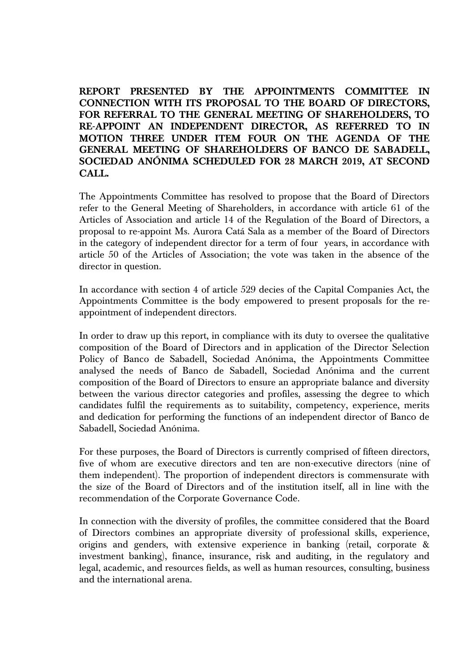**REPORT PRESENTED BY THE APPOINTMENTS COMMITTEE IN CONNECTION WITH ITS PROPOSAL TO THE BOARD OF DIRECTORS, FOR REFERRAL TO THE GENERAL MEETING OF SHAREHOLDERS, TO RE-APPOINT AN INDEPENDENT DIRECTOR, AS REFERRED TO IN MOTION THREE UNDER ITEM FOUR ON THE AGENDA OF THE GENERAL MEETING OF SHAREHOLDERS OF BANCO DE SABADELL, SOCIEDAD ANÓNIMA SCHEDULED FOR 28 MARCH 2019, AT SECOND CALL.**

The Appointments Committee has resolved to propose that the Board of Directors refer to the General Meeting of Shareholders, in accordance with article 61 of the Articles of Association and article 14 of the Regulation of the Board of Directors, a proposal to re-appoint Ms. Aurora Catá Sala as a member of the Board of Directors in the category of independent director for a term of four years, in accordance with article 50 of the Articles of Association; the vote was taken in the absence of the director in question.

In accordance with section 4 of article 529 decies of the Capital Companies Act, the Appointments Committee is the body empowered to present proposals for the reappointment of independent directors.

In order to draw up this report, in compliance with its duty to oversee the qualitative composition of the Board of Directors and in application of the Director Selection Policy of Banco de Sabadell, Sociedad Anónima, the Appointments Committee analysed the needs of Banco de Sabadell, Sociedad Anónima and the current composition of the Board of Directors to ensure an appropriate balance and diversity between the various director categories and profiles, assessing the degree to which candidates fulfil the requirements as to suitability, competency, experience, merits and dedication for performing the functions of an independent director of Banco de Sabadell, Sociedad Anónima.

For these purposes, the Board of Directors is currently comprised of fifteen directors, five of whom are executive directors and ten are non-executive directors (nine of them independent). The proportion of independent directors is commensurate with the size of the Board of Directors and of the institution itself, all in line with the recommendation of the Corporate Governance Code.

In connection with the diversity of profiles, the committee considered that the Board of Directors combines an appropriate diversity of professional skills, experience, origins and genders, with extensive experience in banking (retail, corporate & investment banking), finance, insurance, risk and auditing, in the regulatory and legal, academic, and resources fields, as well as human resources, consulting, business and the international arena.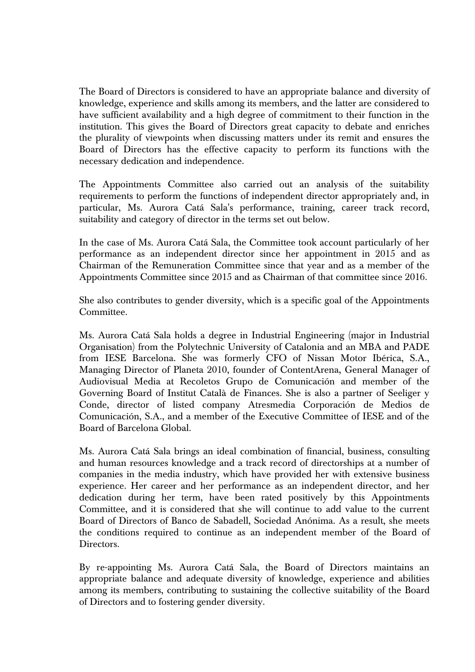The Board of Directors is considered to have an appropriate balance and diversity of knowledge, experience and skills among its members, and the latter are considered to have sufficient availability and a high degree of commitment to their function in the institution. This gives the Board of Directors great capacity to debate and enriches the plurality of viewpoints when discussing matters under its remit and ensures the Board of Directors has the effective capacity to perform its functions with the necessary dedication and independence.

The Appointments Committee also carried out an analysis of the suitability requirements to perform the functions of independent director appropriately and, in particular, Ms. Aurora Catá Sala's performance, training, career track record, suitability and category of director in the terms set out below.

In the case of Ms. Aurora Catá Sala, the Committee took account particularly of her performance as an independent director since her appointment in 2015 and as Chairman of the Remuneration Committee since that year and as a member of the Appointments Committee since 2015 and as Chairman of that committee since 2016.

She also contributes to gender diversity, which is a specific goal of the Appointments Committee.

Ms. Aurora Catá Sala holds a degree in Industrial Engineering (major in Industrial Organisation) from the Polytechnic University of Catalonia and an MBA and PADE from IESE Barcelona. She was formerly CFO of Nissan Motor Ibérica, S.A., Managing Director of Planeta 2010, founder of ContentArena, General Manager of Audiovisual Media at Recoletos Grupo de Comunicación and member of the Governing Board of Institut Català de Finances. She is also a partner of Seeliger y Conde, director of listed company Atresmedia Corporación de Medios de Comunicación, S.A., and a member of the Executive Committee of IESE and of the Board of Barcelona Global.

Ms. Aurora Catá Sala brings an ideal combination of financial, business, consulting and human resources knowledge and a track record of directorships at a number of companies in the media industry, which have provided her with extensive business experience. Her career and her performance as an independent director, and her dedication during her term, have been rated positively by this Appointments Committee, and it is considered that she will continue to add value to the current Board of Directors of Banco de Sabadell, Sociedad Anónima. As a result, she meets the conditions required to continue as an independent member of the Board of Directors.

By re-appointing Ms. Aurora Catá Sala, the Board of Directors maintains an appropriate balance and adequate diversity of knowledge, experience and abilities among its members, contributing to sustaining the collective suitability of the Board of Directors and to fostering gender diversity.